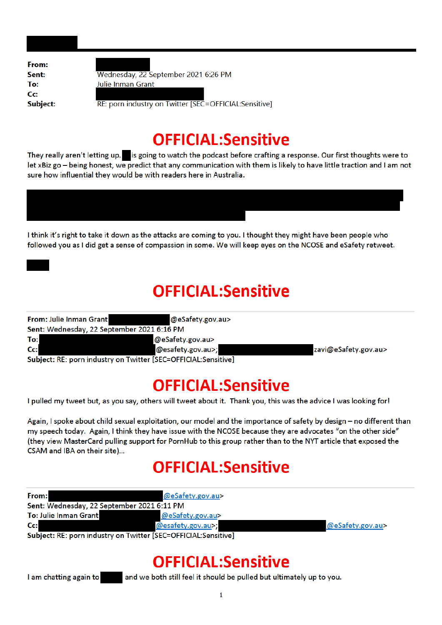From: Sent: To: Cc: **Subject:** 

Wednesday, 22 September 2021 6:26 PM Julie Inman Grant

RE: porn industry on Twitter [SEC=OFFICIAL:Sensitive]

#### **OFFICIAL:Sensitive**

They really aren't letting up. is going to watch the podcast before crafting a response. Our first thoughts were to let xBiz go - being honest, we predict that any communication with them is likely to have little traction and I am not sure how influential they would be with readers here in Australia.

I think it's right to take it down as the attacks are coming to you. I thought they might have been people who followed you as I did get a sense of compassion in some. We will keep eyes on the NCOSE and eSafety retweet.

#### **OFFICIAL:Sensitive**

| From: Julie Inman Grant                                        | @eSafety.gov.au>  |                      |
|----------------------------------------------------------------|-------------------|----------------------|
| Sent: Wednesday, 22 September 2021 6:16 PM                     |                   |                      |
| To:                                                            | @eSafety.gov.au>  |                      |
| $Cc$ :                                                         | @esafety.gov.au>; | zavi@eSafety.gov.au> |
| Subject: RE: porn industry on Twitter [SEC=OFFICIAL:Sensitive] |                   |                      |

## **OFFICIAL:Sensitive**

I pulled my tweet but, as you say, others will tweet about it. Thank you, this was the advice I was looking for!

Again, I spoke about child sexual exploitation, our model and the importance of safety by design - no different than my speech today. Again, I think they have issue with the NCOSE because they are advocates "on the other side" (they view MasterCard pulling support for PornHub to this group rather than to the NYT article that exposed the CSAM and IBA on their site)...

## **OFFICIAL:Sensitive**

| Sent: Wednesday, 22 September 2021 6:11 PM<br>To: Julie Inman Grant<br>@eSafety.gov.au> |  |
|-----------------------------------------------------------------------------------------|--|
|                                                                                         |  |
|                                                                                         |  |
| $Cc$ :<br>@esafety.gov.au>;<br>@eSafety.gov.au>                                         |  |

Subject: RE: porn industry on Twitter [SEC=OFFICIAL:Sensitive]

## **OFFICIAL:Sensitive**

I am chatting again to

and we both still feel it should be pulled but ultimately up to you.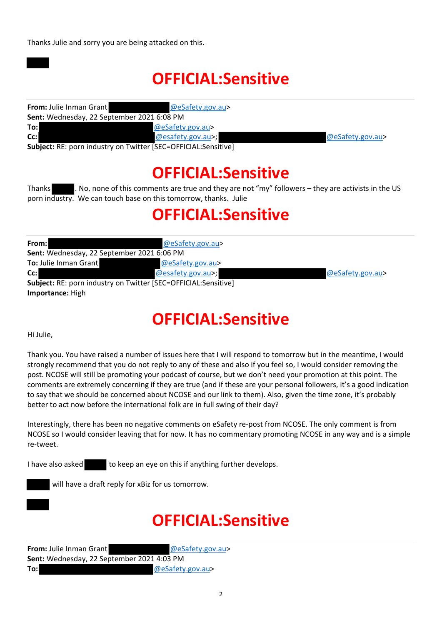Thanks Julie and sorry you are being attacked on this.

# **OFFICIAL:Sensitive**

| <b>From: Julie Inman Grant</b>                                  | @eSafety.gov.au>  |                     |
|-----------------------------------------------------------------|-------------------|---------------------|
| Sent: Wednesday, 22 September 2021 6:08 PM                      |                   |                     |
| To:l                                                            | @eSafety.gov.au>  |                     |
| $Cc$ :                                                          | @esafety.gov.au>; | $@$ eSafety.gov.au> |
| Subject: RE: norn industry on Twitter [SEC-OEEICIAI: Sensitive] |                   |                     |

**Subject:** RE: porn industry on Twitter [SEC=OFFICIAL:Sensitive]

## **OFFICIAL:Sensitive**

Thanks . No, none of this comments are true and they are not "my" followers – they are activists in the US porn industry. We can touch base on this tomorrow, thanks. Julie

## **OFFICIAL:Sensitive**

| From:                                      | @eSafety.gov.au>                                               |                  |
|--------------------------------------------|----------------------------------------------------------------|------------------|
| Sent: Wednesday, 22 September 2021 6:06 PM |                                                                |                  |
| To: Julie Inman Grant                      | @eSafety.gov.au>                                               |                  |
| $Cc$ :                                     | @esafety.gov.au>;                                              | @eSafety.gov.au> |
|                                            | Subject: RE: porn industry on Twitter [SEC=OFFICIAL:Sensitive] |                  |
| Importance: High                           |                                                                |                  |

## **OFFICIAL:Sensitive**

Hi Julie,

Thank you. You have raised a number of issues here that I will respond to tomorrow but in the meantime, I would strongly recommend that you do not reply to any of these and also if you feel so, I would consider removing the post. NCOSE will still be promoting your podcast of course, but we don't need your promotion at this point. The comments are extremely concerning if they are true (and if these are your personal followers, it's a good indication to say that we should be concerned about NCOSE and our link to them). Also, given the time zone, it's probably better to act now before the international folk are in full swing of their day?

Interestingly, there has been no negative comments on eSafety re‐post from NCOSE. The only comment is from NCOSE so I would consider leaving that for now. It has no commentary promoting NCOSE in any way and is a simple re‐tweet.

I have also asked to keep an eye on this if anything further develops.

will have a draft reply for xBiz for us tomorrow.

# **OFFICIAL:Sensitive**

| <b>From:</b> Julie Inman Grant             | @eSafety.gov.au> |
|--------------------------------------------|------------------|
| Sent: Wednesday, 22 September 2021 4:03 PM |                  |
| To:l                                       | @eSafety.gov.au> |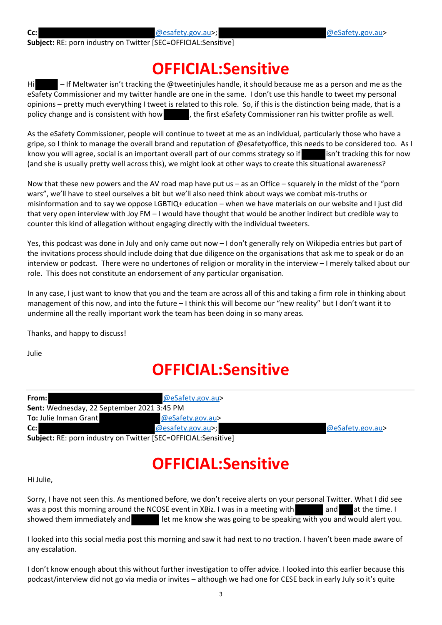**Subject:** RE: porn industry on Twitter [SEC=OFFICIAL:Sensitive]

#### **OFFICIAL:Sensitive**

Hi – If Meltwater isn't tracking the @tweetinjules handle, it should because me as a person and me as the eSafety Commissioner and my twitter handle are one in the same. I don't use this handle to tweet my personal opinions – pretty much everything I tweet is related to this role. So, if this is the distinction being made, that is a policy change and is consistent with how , the first eSafety Commissioner ran his twitter profile as well.

As the eSafety Commissioner, people will continue to tweet at me as an individual, particularly those who have a gripe, so I think to manage the overall brand and reputation of @esafetyoffice, this needs to be considered too. As I know you will agree, social is an important overall part of our comms strategy so if isn't tracking this for now (and she is usually pretty well across this), we might look at other ways to create this situational awareness?

Now that these new powers and the AV road map have put us – as an Office – squarely in the midst of the "porn wars", we'll have to steel ourselves a bit but we'll also need think about ways we combat mis‐truths or misinformation and to say we oppose LGBTIQ+ education – when we have materials on our website and I just did that very open interview with Joy FM – I would have thought that would be another indirect but credible way to counter this kind of allegation without engaging directly with the individual tweeters.

Yes, this podcast was done in July and only came out now – I don't generally rely on Wikipedia entries but part of the invitations process should include doing that due diligence on the organisations that ask me to speak or do an interview or podcast. There were no undertones of religion or morality in the interview – I merely talked about our role. This does not constitute an endorsement of any particular organisation.

In any case, I just want to know that you and the team are across all of this and taking a firm role in thinking about management of this now, and into the future – I think this will become our "new reality" but I don't want it to undermine all the really important work the team has been doing in so many areas.

Thanks, and happy to discuss!

Julie

## **OFFICIAL:Sensitive**

| From: I                                                                | @eSafety.gov.au>  |                  |
|------------------------------------------------------------------------|-------------------|------------------|
| <b>Sent:</b> Wednesday, 22 September 2021 3:45 PM                      |                   |                  |
| <b>To:</b> Julie Inman Grant                                           | @eSafety.gov.au>  |                  |
| $Cc$ :                                                                 | @esafety.gov.au>; | @eSafety.gov.au> |
| <b>Subject: RE: porn industry on Twitter [SEC=OFFICIAL: Sensitive]</b> |                   |                  |

## **OFFICIAL:Sensitive**

Hi Julie,

Sorry, I have not seen this. As mentioned before, we don't receive alerts on your personal Twitter. What I did see was a post this morning around the NCOSE event in XBiz. I was in a meeting with and at the time. I showed them immediately and **let me know she was going to be speaking with you and would alert you.** 

I looked into this social media post this morning and saw it had next to no traction. I haven't been made aware of any escalation.

I don't know enough about this without further investigation to offer advice. I looked into this earlier because this podcast/interview did not go via media or invites – although we had one for CESE back in early July so it's quite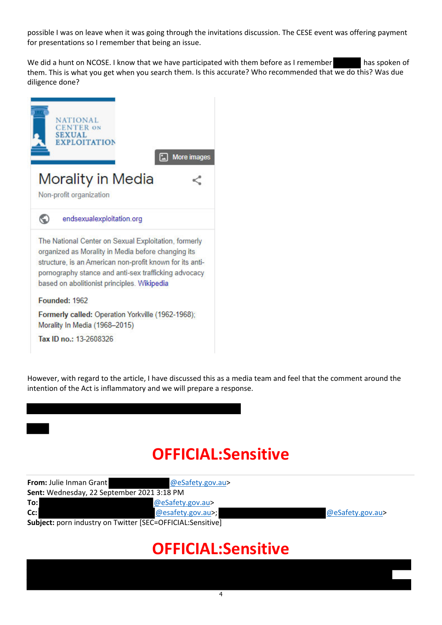possible I was on leave when it was going through the invitations discussion. The CESE event was offering payment for presentations so I remember that being an issue.

We did a hunt on NCOSE. I know that we have participated with them before as I remember has spoken of them. This is what you get when you search them. Is this accurate? Who recommended that we do this? Was due diligence done?



However, with regard to the article, I have discussed this as a media team and feel that the comment around the intention of the Act is inflammatory and we will prepare a response.

## **OFFICIAL:Sensitive**

| From: Julie Inman Grant                    | @eSafety.gov.au>                                           |                  |
|--------------------------------------------|------------------------------------------------------------|------------------|
| Sent: Wednesday, 22 September 2021 3:18 PM |                                                            |                  |
| To:l                                       | @eSafety.gov.au>                                           |                  |
| Cc:                                        | @esafety.gov.au>;                                          | @eSafety.gov.au> |
|                                            | Subject: porn industry on Twitter [SEC=OFFICIAL:Sensitive] |                  |

#### **OFFICIAL:Sensitive**